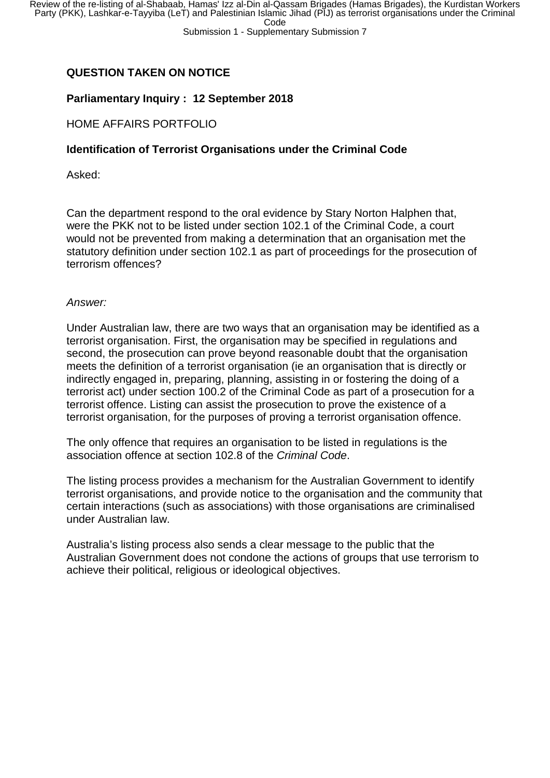# **QUESTION TAKEN ON NOTICE**

## **Parliamentary Inquiry : 12 September 2018**

## HOME AFFAIRS PORTFOLIO

### **Identification of Terrorist Organisations under the Criminal Code**

Asked:

Can the department respond to the oral evidence by Stary Norton Halphen that, were the PKK not to be listed under section 102.1 of the Criminal Code, a court would not be prevented from making a determination that an organisation met the statutory definition under section 102.1 as part of proceedings for the prosecution of terrorism offences?

#### *Answer:*

Under Australian law, there are two ways that an organisation may be identified as a terrorist organisation. First, the organisation may be specified in regulations and second, the prosecution can prove beyond reasonable doubt that the organisation meets the definition of a terrorist organisation (ie an organisation that is directly or indirectly engaged in, preparing, planning, assisting in or fostering the doing of a terrorist act) under section 100.2 of the Criminal Code as part of a prosecution for a terrorist offence. Listing can assist the prosecution to prove the existence of a terrorist organisation, for the purposes of proving a terrorist organisation offence.

The only offence that requires an organisation to be listed in regulations is the association offence at section 102.8 of the *Criminal Code*.

The listing process provides a mechanism for the Australian Government to identify terrorist organisations, and provide notice to the organisation and the community that certain interactions (such as associations) with those organisations are criminalised under Australian law.

Australia's listing process also sends a clear message to the public that the Australian Government does not condone the actions of groups that use terrorism to achieve their political, religious or ideological objectives.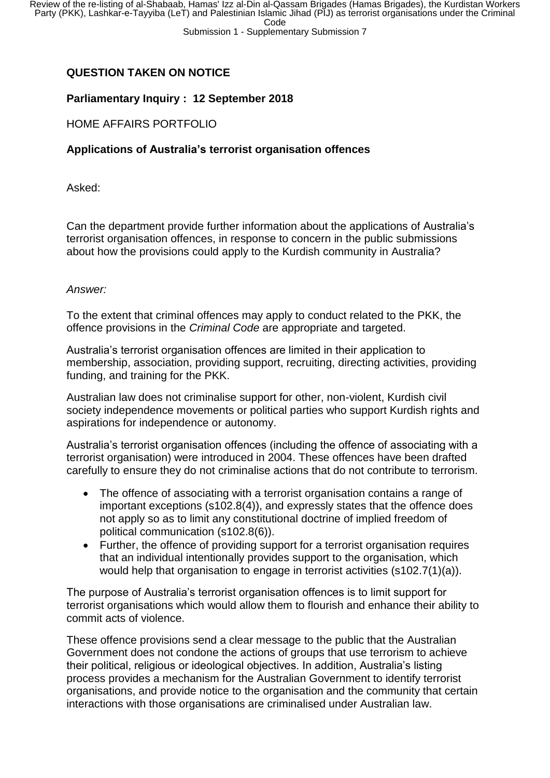## **QUESTION TAKEN ON NOTICE**

### **Parliamentary Inquiry : 12 September 2018**

### HOME AFFAIRS PORTFOLIO

### **Applications of Australia's terrorist organisation offences**

Asked:

Can the department provide further information about the applications of Australia's terrorist organisation offences, in response to concern in the public submissions about how the provisions could apply to the Kurdish community in Australia?

#### *Answer:*

To the extent that criminal offences may apply to conduct related to the PKK, the offence provisions in the *Criminal Code* are appropriate and targeted.

Australia's terrorist organisation offences are limited in their application to membership, association, providing support, recruiting, directing activities, providing funding, and training for the PKK.

Australian law does not criminalise support for other, non-violent, Kurdish civil society independence movements or political parties who support Kurdish rights and aspirations for independence or autonomy.

Australia's terrorist organisation offences (including the offence of associating with a terrorist organisation) were introduced in 2004. These offences have been drafted carefully to ensure they do not criminalise actions that do not contribute to terrorism.

- The offence of associating with a terrorist organisation contains a range of important exceptions (s102.8(4)), and expressly states that the offence does not apply so as to limit any constitutional doctrine of implied freedom of political communication (s102.8(6)).
- Further, the offence of providing support for a terrorist organisation requires that an individual intentionally provides support to the organisation, which would help that organisation to engage in terrorist activities (s102.7(1)(a)).

The purpose of Australia's terrorist organisation offences is to limit support for terrorist organisations which would allow them to flourish and enhance their ability to commit acts of violence.

These offence provisions send a clear message to the public that the Australian Government does not condone the actions of groups that use terrorism to achieve their political, religious or ideological objectives. In addition, Australia's listing process provides a mechanism for the Australian Government to identify terrorist organisations, and provide notice to the organisation and the community that certain interactions with those organisations are criminalised under Australian law.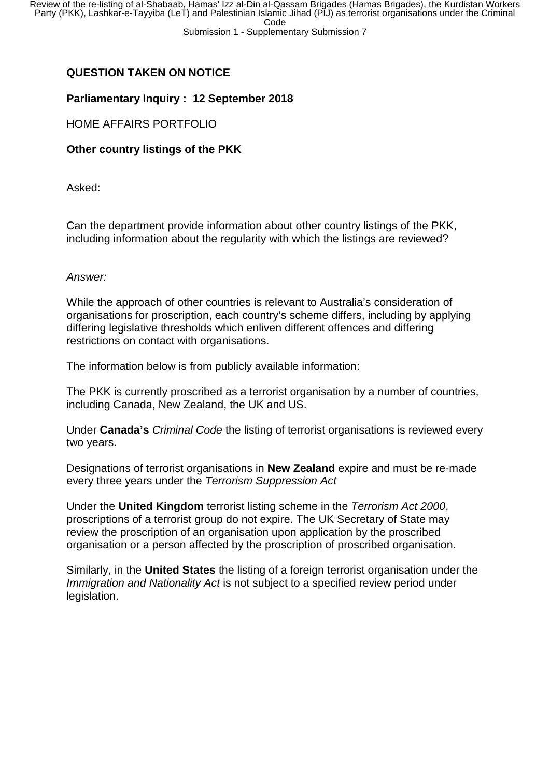# **QUESTION TAKEN ON NOTICE**

## **Parliamentary Inquiry : 12 September 2018**

## HOME AFFAIRS PORTFOLIO

## **Other country listings of the PKK**

Asked:

Can the department provide information about other country listings of the PKK, including information about the regularity with which the listings are reviewed?

### *Answer:*

While the approach of other countries is relevant to Australia's consideration of organisations for proscription, each country's scheme differs, including by applying differing legislative thresholds which enliven different offences and differing restrictions on contact with organisations.

The information below is from publicly available information:

The PKK is currently proscribed as a terrorist organisation by a number of countries, including Canada, New Zealand, the UK and US.

Under **Canada's** *Criminal Code* the listing of terrorist organisations is reviewed every two years.

Designations of terrorist organisations in **New Zealand** expire and must be re-made every three years under the *Terrorism Suppression Act*

Under the **United Kingdom** terrorist listing scheme in the *Terrorism Act 2000*, proscriptions of a terrorist group do not expire. The UK Secretary of State may review the proscription of an organisation upon application by the proscribed organisation or a person affected by the proscription of proscribed organisation.

Similarly, in the **United States** the listing of a foreign terrorist organisation under the *Immigration and Nationality Act* is not subject to a specified review period under legislation.